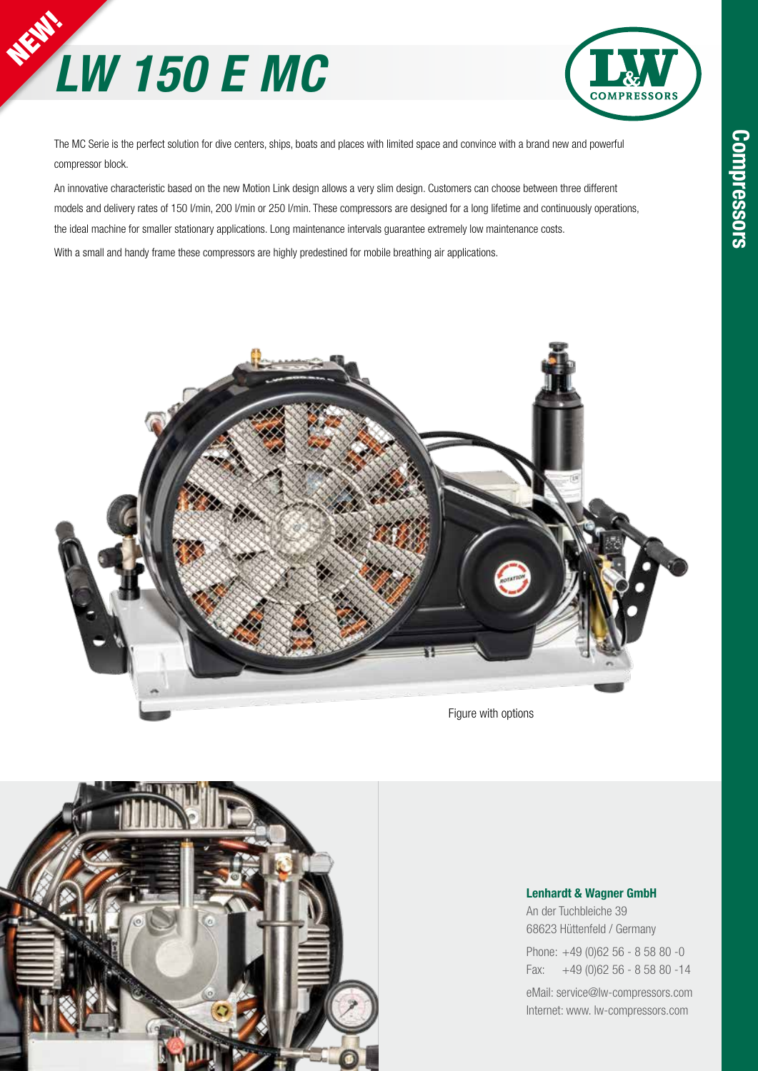



The MC Serie is the perfect solution for dive centers, ships, boats and places with limited space and convince with a brand new and powerful compressor block.

An innovative characteristic based on the new Motion Link design allows a very slim design. Customers can choose between three different models and delivery rates of 150 l/min, 200 l/min or 250 l/min. These compressors are designed for a long lifetime and continuously operations, the ideal machine for smaller stationary applications. Long maintenance intervals guarantee extremely low maintenance costs. With a small and handy frame these compressors are highly predestined for mobile breathing air applications.





### **Lenhardt & Wagner GmbH**

An der Tuchbleiche 39 68623 Hüttenfeld / Germany

Phone: +49 (0)62 56 - 8 58 80 -0 Fax: +49 (0)62 56 - 8 58 80 -14

eMail: service@lw-compressors.com Internet: www. lw-compressors.com